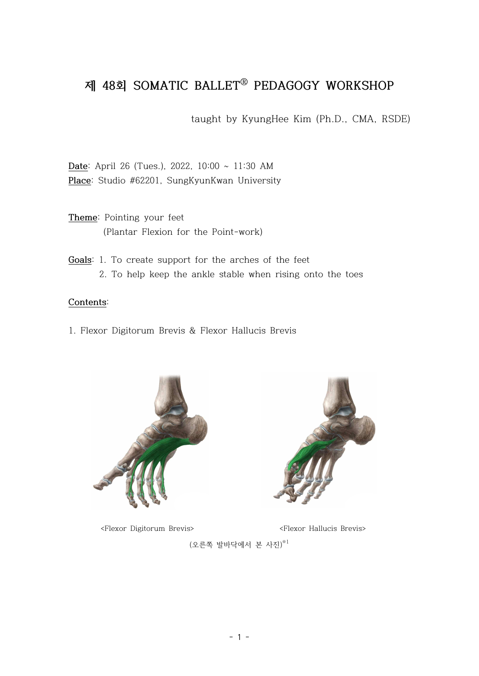## **제 48회 SOMATIC BALLETⓇ PEDAGOGY WORKSHOP**

taught by KyungHee Kim (Ph.D., CMA, RSDE)

**Date**: April 26 (Tues.), 2022, 10:00 ~ 11:30 AM **Place**: Studio #62201, SungKyunKwan University

**Theme**: Pointing your feet (Plantar Flexion for the Point-work)

**Goals**: 1. To create support for the arches of the feet 2. To help keep the ankle stable when rising onto the toes

## **Contents**:

1. Flexor Digitorum Brevis & Flexor Hallucis Brevis



<Flexor Digitorum Brevis> <Flexor Hallucis Brevis>



 $(2.54 \pm 0.000)$  본 사진 $($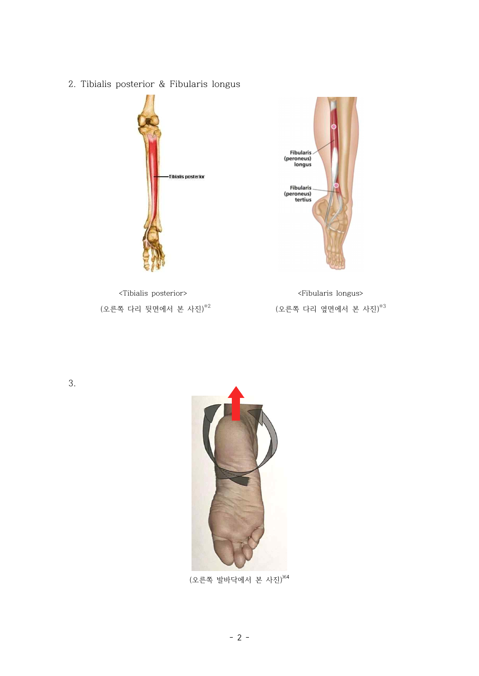(오른쪽 발바닥에서 본 사진)※4



3.



<Tibialis posterior> <Fibularis longus>





2. Tibialis posterior & Fibularis longus